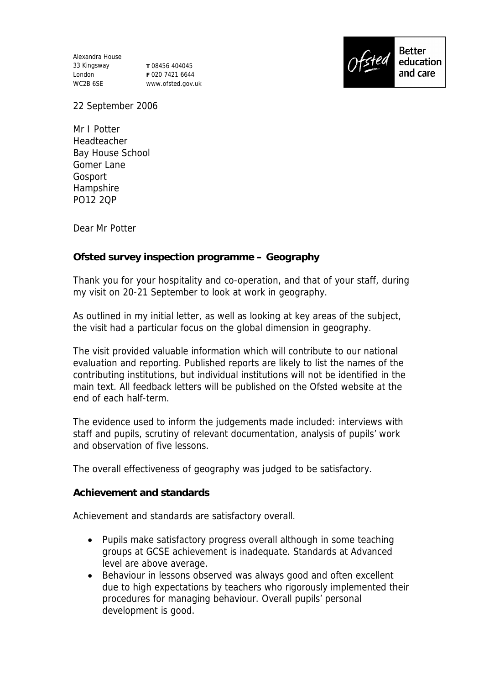Alexandra House 33 Kingsway London WC2B 6SE

**T** 08456 404045 **F** 020 7421 6644 www.ofsted.gov.uk



22 September 2006

Mr I Potter Headteacher Bay House School Gomer Lane Gosport Hampshire PO12 2QP

Dear Mr Potter

**Ofsted survey inspection programme – Geography**

Thank you for your hospitality and co-operation, and that of your staff, during my visit on 20-21 September to look at work in geography.

As outlined in my initial letter, as well as looking at key areas of the subject, the visit had a particular focus on the global dimension in geography.

The visit provided valuable information which will contribute to our national evaluation and reporting. Published reports are likely to list the names of the contributing institutions, but individual institutions will not be identified in the main text. All feedback letters will be published on the Ofsted website at the end of each half-term.

The evidence used to inform the judgements made included: interviews with staff and pupils, scrutiny of relevant documentation, analysis of pupils' work and observation of five lessons.

The overall effectiveness of geography was judged to be satisfactory.

**Achievement and standards**

Achievement and standards are satisfactory overall.

- Pupils make satisfactory progress overall although in some teaching groups at GCSE achievement is inadequate. Standards at Advanced level are above average.
- Behaviour in lessons observed was always good and often excellent due to high expectations by teachers who rigorously implemented their procedures for managing behaviour. Overall pupils' personal development is good.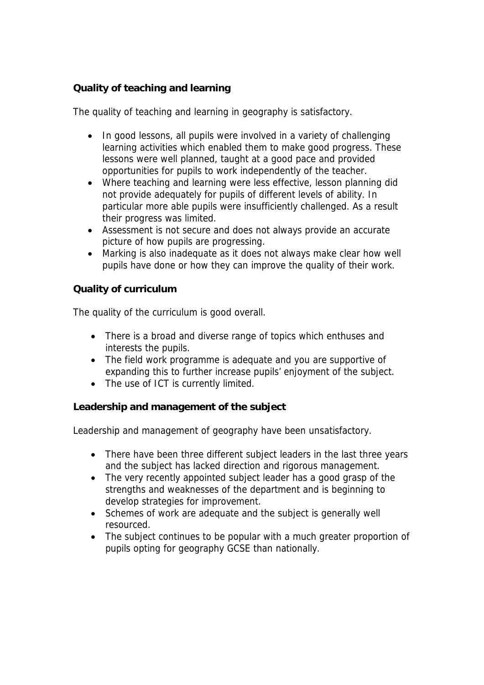## **Quality of teaching and learning**

The quality of teaching and learning in geography is satisfactory.

- In good lessons, all pupils were involved in a variety of challenging learning activities which enabled them to make good progress. These lessons were well planned, taught at a good pace and provided opportunities for pupils to work independently of the teacher.
- Where teaching and learning were less effective, lesson planning did not provide adequately for pupils of different levels of ability. In particular more able pupils were insufficiently challenged. As a result their progress was limited.
- Assessment is not secure and does not always provide an accurate picture of how pupils are progressing.
- Marking is also inadequate as it does not always make clear how well pupils have done or how they can improve the quality of their work.

**Quality of curriculum** 

The quality of the curriculum is good overall.

- There is a broad and diverse range of topics which enthuses and interests the pupils.
- The field work programme is adequate and you are supportive of expanding this to further increase pupils' enjoyment of the subject.
- The use of ICT is currently limited.

**Leadership and management of the subject**

Leadership and management of geography have been unsatisfactory.

- There have been three different subject leaders in the last three years and the subject has lacked direction and rigorous management.
- The very recently appointed subject leader has a good grasp of the strengths and weaknesses of the department and is beginning to develop strategies for improvement.
- Schemes of work are adequate and the subject is generally well resourced.
- The subject continues to be popular with a much greater proportion of pupils opting for geography GCSE than nationally.